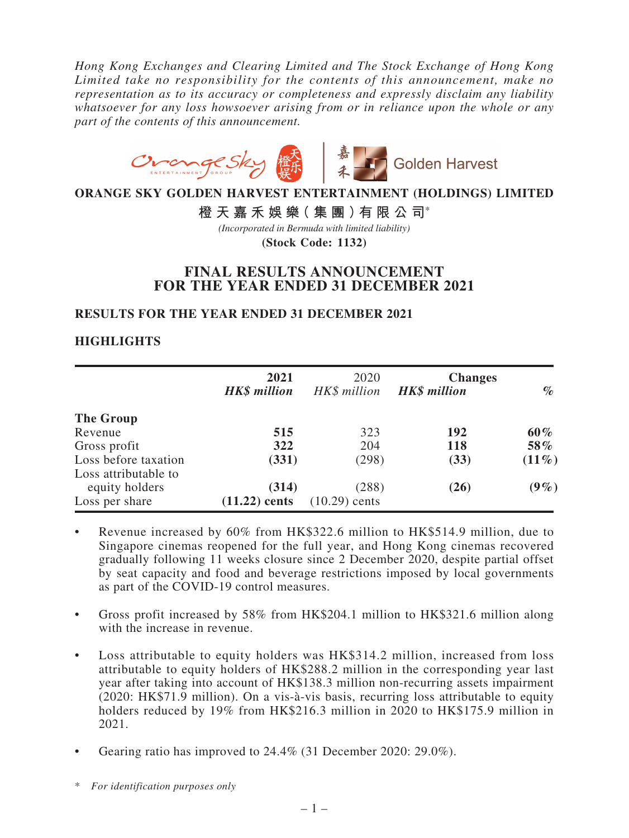*Hong Kong Exchanges and Clearing Limited and The Stock Exchange of Hong Kong Limited take no responsibility for the contents of this announcement, make no representation as to its accuracy or completeness and expressly disclaim any liability whatsoever for any loss howsoever arising from or in reliance upon the whole or any part of the contents of this announcement.*



**ORANGE SKY GOLDEN HARVEST ENTERTAINMENT (HOLDINGS) LIMITED**

**橙天嘉禾娛樂(集團)有限公司**\*

**(Stock Code: 1132)** *(Incorporated in Bermuda with limited liability)*

# **FINAL RESULTS ANNOUNCEMENT FOR THE YEAR ENDED 31 DECEMBER 2021**

## **RESULTS FOR THE YEAR ENDED 31 DECEMBER 2021**

## **HIGHLIGHTS**

|                                              | 2021<br><b>HK\$</b> million | 2020<br>HK\$ million     | <b>Changes</b><br><b>HK\$</b> million | $\%$     |
|----------------------------------------------|-----------------------------|--------------------------|---------------------------------------|----------|
| The Group                                    |                             |                          |                                       |          |
| Revenue                                      | 515                         | 323                      | 192                                   | $60\%$   |
| Gross profit                                 | 322                         | 204                      | <b>118</b>                            | 58%      |
| Loss before taxation<br>Loss attributable to | (331)                       | (298)                    | (33)                                  | $(11\%)$ |
| equity holders<br>Loss per share             | (314)<br>$(11.22)$ cents    | (288)<br>$(10.29)$ cents | (26)                                  | $(9\%)$  |

- Revenue increased by 60% from HK\$322.6 million to HK\$514.9 million, due to Singapore cinemas reopened for the full year, and Hong Kong cinemas recovered gradually following 11 weeks closure since 2 December 2020, despite partial offset by seat capacity and food and beverage restrictions imposed by local governments as part of the COVID-19 control measures.
- Gross profit increased by 58% from  $HK$204.1$  million to  $HK$321.6$  million along with the increase in revenue.
- Loss attributable to equity holders was HK\$314.2 million, increased from loss attributable to equity holders of HK\$288.2 million in the corresponding year last year after taking into account of HK\$138.3 million non-recurring assets impairment (2020: HK\$71.9 million). On a vis-à-vis basis, recurring loss attributable to equity holders reduced by 19% from HK\$216.3 million in 2020 to HK\$175.9 million in 2021.
- Gearing ratio has improved to  $24.4\%$  (31 December 2020: 29.0%).

<sup>\*</sup> *For identification purposes only*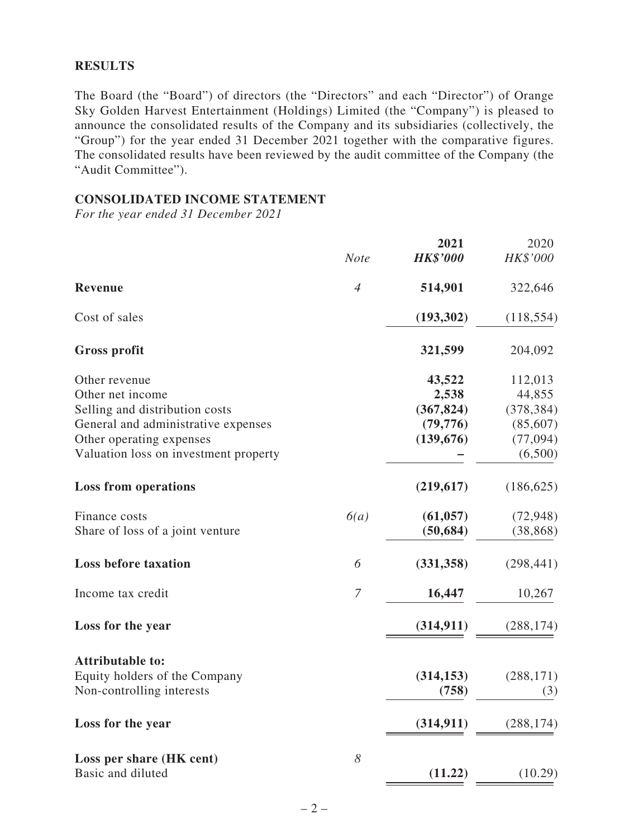#### **RESULTS**

The Board (the "Board") of directors (the "Directors" and each "Director") of Orange Sky Golden Harvest Entertainment (Holdings) Limited (the "Company") is pleased to announce the consolidated results of the Company and its subsidiaries (collectively, the "Group") for the year ended 31 December 2021 together with the comparative figures. The consolidated results have been reviewed by the audit committee of the Company (the "Audit Committee").

#### **CONSOLIDATED INCOME STATEMENT**

*For the year ended 31 December 2021*

|                                       |                  | 2021            | 2020       |
|---------------------------------------|------------------|-----------------|------------|
|                                       | <b>Note</b>      | <b>HK\$'000</b> | HK\$'000   |
| <b>Revenue</b>                        | $\overline{4}$   | 514,901         | 322,646    |
| Cost of sales                         |                  | (193, 302)      | (118, 554) |
| <b>Gross profit</b>                   |                  | 321,599         | 204,092    |
| Other revenue                         |                  | 43,522          | 112,013    |
| Other net income                      |                  | 2,538           | 44,855     |
| Selling and distribution costs        |                  | (367, 824)      | (378, 384) |
| General and administrative expenses   |                  | (79, 776)       | (85,607)   |
| Other operating expenses              |                  | (139, 676)      | (77,094)   |
| Valuation loss on investment property |                  |                 | (6,500)    |
| <b>Loss from operations</b>           |                  | (219, 617)      | (186, 625) |
| Finance costs                         | 6(a)             | (61, 057)       | (72, 948)  |
| Share of loss of a joint venture      |                  | (50, 684)       | (38, 868)  |
| <b>Loss before taxation</b>           | 6                | (331, 358)      | (298, 441) |
| Income tax credit                     | $\boldsymbol{7}$ | 16,447          | 10,267     |
| Loss for the year                     |                  | (314, 911)      | (288, 174) |
| <b>Attributable to:</b>               |                  |                 |            |
| Equity holders of the Company         |                  | (314, 153)      | (288, 171) |
| Non-controlling interests             |                  | (758)           | (3)        |
|                                       |                  |                 |            |
| Loss for the year                     |                  | (314, 911)      | (288, 174) |
| Loss per share (HK cent)              | 8                |                 |            |
| Basic and diluted                     |                  | (11.22)         | (10.29)    |
|                                       |                  |                 |            |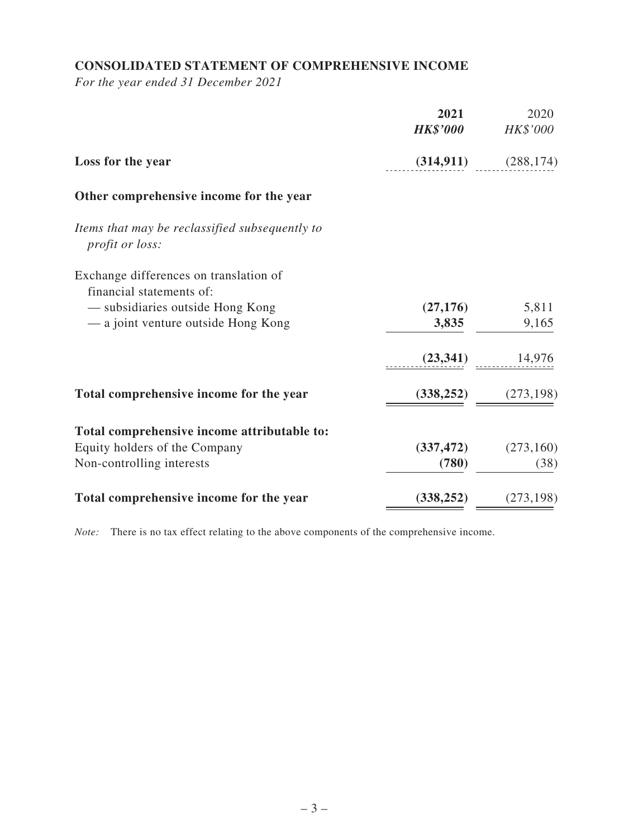# **CONSOLIDATED STATEMENT OF COMPREHENSIVE INCOME**

*For the year ended 31 December 2021*

|                                                                    | 2021<br><b>HK\$'000</b> | 2020<br>HK\$'000 |
|--------------------------------------------------------------------|-------------------------|------------------|
| Loss for the year                                                  | (314, 911)              | (288, 174)       |
| Other comprehensive income for the year                            |                         |                  |
| Items that may be reclassified subsequently to<br>profit or loss:  |                         |                  |
| Exchange differences on translation of<br>financial statements of: |                         |                  |
| — subsidiaries outside Hong Kong                                   | (27, 176)               | 5,811            |
| - a joint venture outside Hong Kong                                | 3,835                   | 9,165            |
|                                                                    | (23, 341)               | 14,976           |
| Total comprehensive income for the year                            | (338, 252)              | (273, 198)       |
| Total comprehensive income attributable to:                        |                         |                  |
| Equity holders of the Company                                      | (337, 472)              | (273, 160)       |
| Non-controlling interests                                          | (780)                   | (38)             |
| Total comprehensive income for the year                            | (338, 252)              | (273, 198)       |

*Note:* There is no tax effect relating to the above components of the comprehensive income.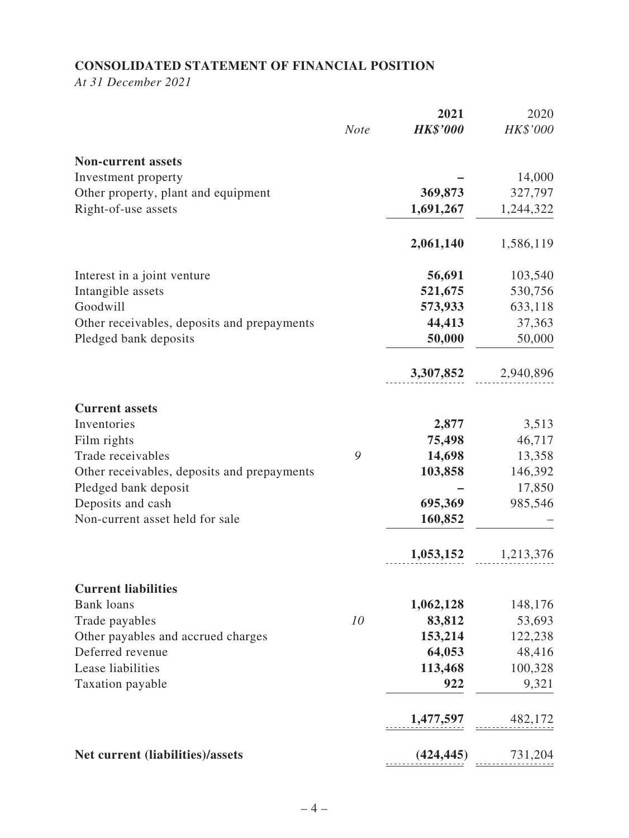# **CONSOLIDATED STATEMENT OF FINANCIAL POSITION**

*At 31 December 2021*

|                                                        |             | 2021               | 2020              |
|--------------------------------------------------------|-------------|--------------------|-------------------|
|                                                        | <b>Note</b> | <b>HK\$'000</b>    | HK\$'000          |
| <b>Non-current assets</b>                              |             |                    |                   |
| Investment property                                    |             |                    | 14,000            |
| Other property, plant and equipment                    |             | 369,873            | 327,797           |
| Right-of-use assets                                    |             | 1,691,267          | 1,244,322         |
|                                                        |             | 2,061,140          | 1,586,119         |
| Interest in a joint venture                            |             | 56,691             | 103,540           |
| Intangible assets                                      |             | 521,675            | 530,756           |
| Goodwill                                               |             | 573,933            | 633,118           |
| Other receivables, deposits and prepayments            |             | 44,413             | 37,363            |
| Pledged bank deposits                                  |             | 50,000             | 50,000            |
|                                                        |             | 3,307,852          | 2,940,896         |
| <b>Current assets</b>                                  |             |                    |                   |
| Inventories                                            |             | 2,877              | 3,513             |
| Film rights                                            |             | 75,498             | 46,717            |
| Trade receivables                                      | 9           | 14,698             | 13,358            |
| Other receivables, deposits and prepayments            |             | 103,858            | 146,392           |
| Pledged bank deposit                                   |             |                    | 17,850            |
| Deposits and cash<br>Non-current asset held for sale   |             | 695,369<br>160,852 | 985,546           |
|                                                        |             |                    |                   |
|                                                        |             | 1,053,152          | 1,213,376         |
| <b>Current liabilities</b>                             |             |                    |                   |
| <b>Bank loans</b>                                      |             | 1,062,128          | 148,176           |
| Trade payables                                         | 10          | 83,812             | 53,693            |
| Other payables and accrued charges<br>Deferred revenue |             | 153,214            | 122,238           |
| Lease liabilities                                      |             | 64,053<br>113,468  | 48,416<br>100,328 |
| Taxation payable                                       |             | 922                | 9,321             |
|                                                        |             |                    |                   |
|                                                        |             | 1,477,597          | 482,172           |
| Net current (liabilities)/assets                       |             | (424, 445)         | 731,204           |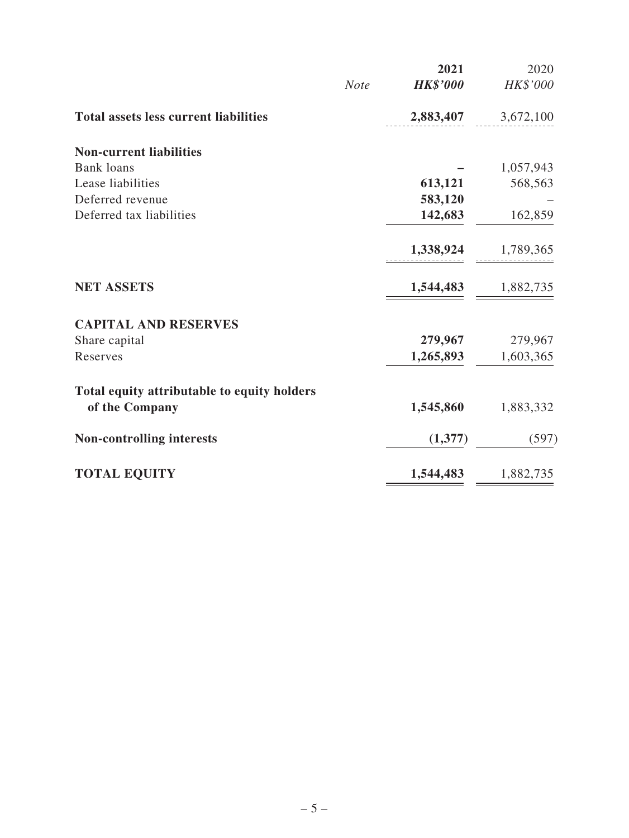|                                              |             | 2021            | 2020      |
|----------------------------------------------|-------------|-----------------|-----------|
|                                              | <b>Note</b> | <b>HK\$'000</b> | HK\$'000  |
| <b>Total assets less current liabilities</b> |             | 2,883,407       | 3,672,100 |
| <b>Non-current liabilities</b>               |             |                 |           |
| <b>Bank loans</b>                            |             |                 | 1,057,943 |
| Lease liabilities                            |             | 613,121         | 568,563   |
| Deferred revenue                             |             | 583,120         |           |
| Deferred tax liabilities                     |             | 142,683         | 162,859   |
|                                              |             | 1,338,924       | 1,789,365 |
| <b>NET ASSETS</b>                            |             | 1,544,483       | 1,882,735 |
| <b>CAPITAL AND RESERVES</b>                  |             |                 |           |
| Share capital                                |             | 279,967         | 279,967   |
| Reserves                                     |             | 1,265,893       | 1,603,365 |
| Total equity attributable to equity holders  |             |                 |           |
| of the Company                               |             | 1,545,860       | 1,883,332 |
| <b>Non-controlling interests</b>             |             | (1,377)         | (597)     |
| <b>TOTAL EQUITY</b>                          |             | 1,544,483       | 1,882,735 |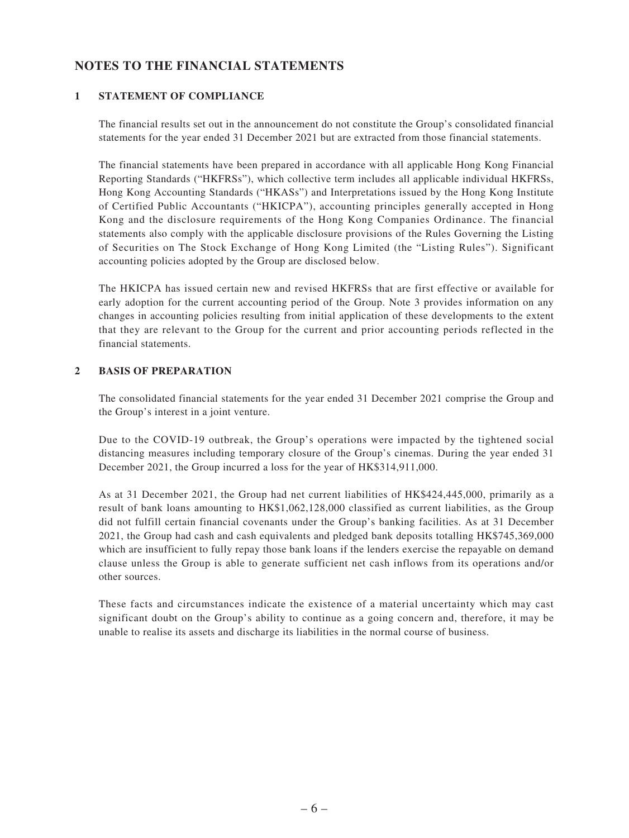## **NOTES TO THE FINANCIAL STATEMENTS**

#### **1 STATEMENT OF COMPLIANCE**

The financial results set out in the announcement do not constitute the Group's consolidated financial statements for the year ended 31 December 2021 but are extracted from those financial statements.

The financial statements have been prepared in accordance with all applicable Hong Kong Financial Reporting Standards ("HKFRSs"), which collective term includes all applicable individual HKFRSs, Hong Kong Accounting Standards ("HKASs") and Interpretations issued by the Hong Kong Institute of Certified Public Accountants ("HKICPA"), accounting principles generally accepted in Hong Kong and the disclosure requirements of the Hong Kong Companies Ordinance. The financial statements also comply with the applicable disclosure provisions of the Rules Governing the Listing of Securities on The Stock Exchange of Hong Kong Limited (the "Listing Rules"). Significant accounting policies adopted by the Group are disclosed below.

The HKICPA has issued certain new and revised HKFRSs that are first effective or available for early adoption for the current accounting period of the Group. Note 3 provides information on any changes in accounting policies resulting from initial application of these developments to the extent that they are relevant to the Group for the current and prior accounting periods reflected in the financial statements.

#### **2 BASIS OF PREPARATION**

The consolidated financial statements for the year ended 31 December 2021 comprise the Group and the Group's interest in a joint venture.

Due to the COVID-19 outbreak, the Group's operations were impacted by the tightened social distancing measures including temporary closure of the Group's cinemas. During the year ended 31 December 2021, the Group incurred a loss for the year of HK\$314,911,000.

As at 31 December 2021, the Group had net current liabilities of HK\$424,445,000, primarily as a result of bank loans amounting to HK\$1,062,128,000 classified as current liabilities, as the Group did not fulfill certain financial covenants under the Group's banking facilities. As at 31 December 2021, the Group had cash and cash equivalents and pledged bank deposits totalling HK\$745,369,000 which are insufficient to fully repay those bank loans if the lenders exercise the repayable on demand clause unless the Group is able to generate sufficient net cash inflows from its operations and/or other sources.

These facts and circumstances indicate the existence of a material uncertainty which may cast significant doubt on the Group's ability to continue as a going concern and, therefore, it may be unable to realise its assets and discharge its liabilities in the normal course of business.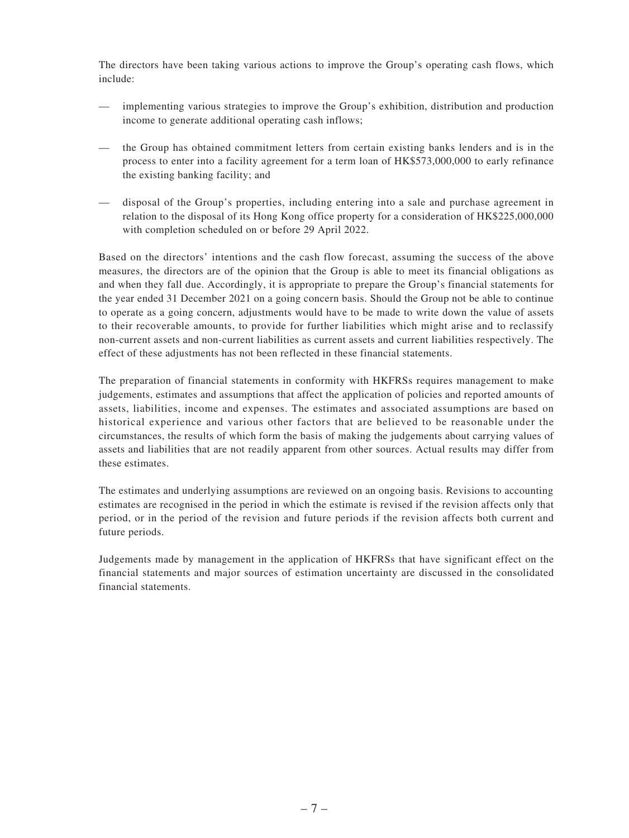The directors have been taking various actions to improve the Group's operating cash flows, which include:

- implementing various strategies to improve the Group's exhibition, distribution and production income to generate additional operating cash inflows;
- the Group has obtained commitment letters from certain existing banks lenders and is in the process to enter into a facility agreement for a term loan of HK\$573,000,000 to early refinance the existing banking facility; and
- disposal of the Group's properties, including entering into a sale and purchase agreement in relation to the disposal of its Hong Kong office property for a consideration of HK\$225,000,000 with completion scheduled on or before 29 April 2022.

Based on the directors' intentions and the cash flow forecast, assuming the success of the above measures, the directors are of the opinion that the Group is able to meet its financial obligations as and when they fall due. Accordingly, it is appropriate to prepare the Group's financial statements for the year ended 31 December 2021 on a going concern basis. Should the Group not be able to continue to operate as a going concern, adjustments would have to be made to write down the value of assets to their recoverable amounts, to provide for further liabilities which might arise and to reclassify non-current assets and non-current liabilities as current assets and current liabilities respectively. The effect of these adjustments has not been reflected in these financial statements.

The preparation of financial statements in conformity with HKFRSs requires management to make judgements, estimates and assumptions that affect the application of policies and reported amounts of assets, liabilities, income and expenses. The estimates and associated assumptions are based on historical experience and various other factors that are believed to be reasonable under the circumstances, the results of which form the basis of making the judgements about carrying values of assets and liabilities that are not readily apparent from other sources. Actual results may differ from these estimates.

The estimates and underlying assumptions are reviewed on an ongoing basis. Revisions to accounting estimates are recognised in the period in which the estimate is revised if the revision affects only that period, or in the period of the revision and future periods if the revision affects both current and future periods.

Judgements made by management in the application of HKFRSs that have significant effect on the financial statements and major sources of estimation uncertainty are discussed in the consolidated financial statements.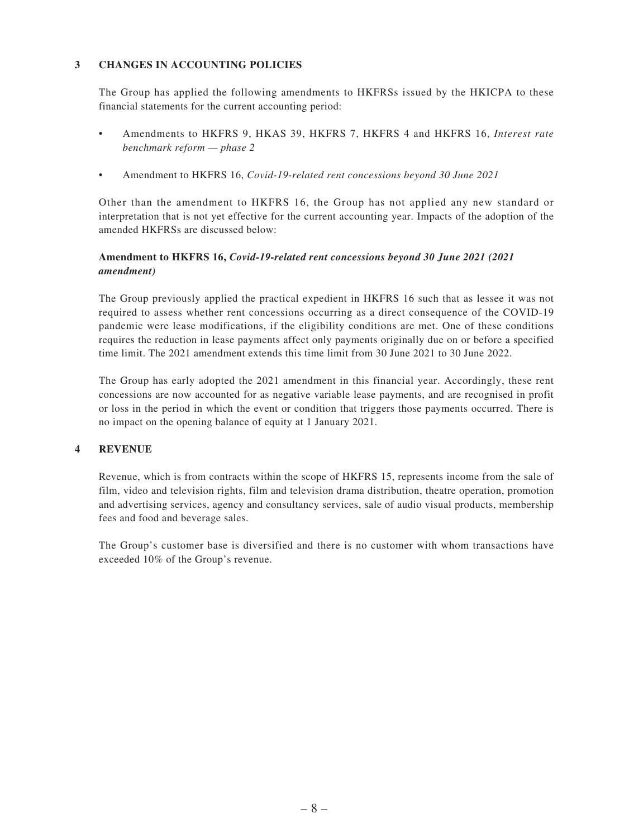#### **3 CHANGES IN ACCOUNTING POLICIES**

The Group has applied the following amendments to HKFRSs issued by the HKICPA to these financial statements for the current accounting period:

- • Amendments to HKFRS 9, HKAS 39, HKFRS 7, HKFRS 4 and HKFRS 16, *Interest rate benchmark reform — phase 2*
- • Amendment to HKFRS 16, *Covid-19-related rent concessions beyond 30 June 2021*

Other than the amendment to HKFRS 16, the Group has not applied any new standard or interpretation that is not yet effective for the current accounting year. Impacts of the adoption of the amended HKFRSs are discussed below:

#### **Amendment to HKFRS 16,** *Covid-19-related rent concessions beyond 30 June 2021 (2021 amendment)*

The Group previously applied the practical expedient in HKFRS 16 such that as lessee it was not required to assess whether rent concessions occurring as a direct consequence of the COVID-19 pandemic were lease modifications, if the eligibility conditions are met. One of these conditions requires the reduction in lease payments affect only payments originally due on or before a specified time limit. The 2021 amendment extends this time limit from 30 June 2021 to 30 June 2022.

The Group has early adopted the 2021 amendment in this financial year. Accordingly, these rent concessions are now accounted for as negative variable lease payments, and are recognised in profit or loss in the period in which the event or condition that triggers those payments occurred. There is no impact on the opening balance of equity at 1 January 2021.

#### **4 REVENUE**

Revenue, which is from contracts within the scope of HKFRS 15, represents income from the sale of film, video and television rights, film and television drama distribution, theatre operation, promotion and advertising services, agency and consultancy services, sale of audio visual products, membership fees and food and beverage sales.

The Group's customer base is diversified and there is no customer with whom transactions have exceeded 10% of the Group's revenue.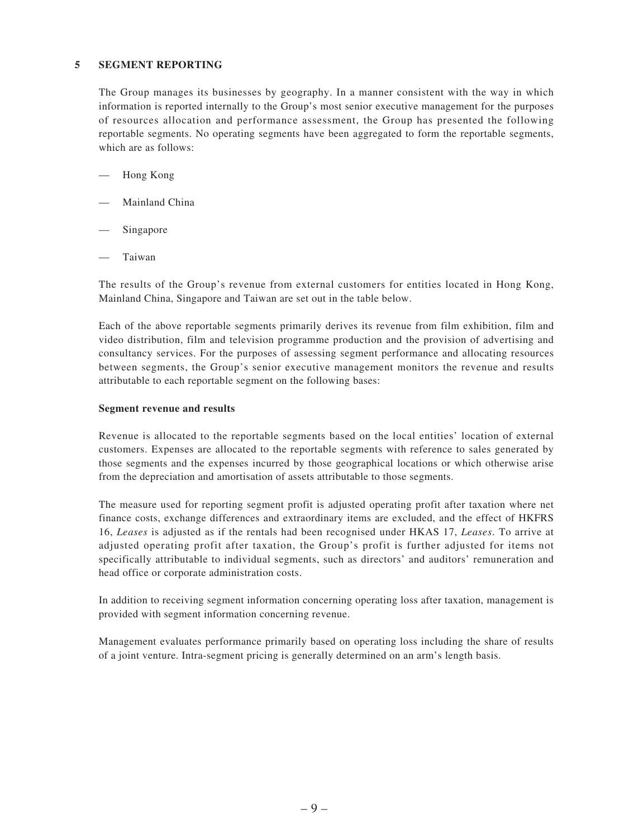#### **5 SEGMENT REPORTING**

The Group manages its businesses by geography. In a manner consistent with the way in which information is reported internally to the Group's most senior executive management for the purposes of resources allocation and performance assessment, the Group has presented the following reportable segments. No operating segments have been aggregated to form the reportable segments, which are as follows:

- Hong Kong
- Mainland China
- Singapore
- Taiwan

The results of the Group's revenue from external customers for entities located in Hong Kong, Mainland China, Singapore and Taiwan are set out in the table below.

Each of the above reportable segments primarily derives its revenue from film exhibition, film and video distribution, film and television programme production and the provision of advertising and consultancy services. For the purposes of assessing segment performance and allocating resources between segments, the Group's senior executive management monitors the revenue and results attributable to each reportable segment on the following bases:

#### **Segment revenue and results**

Revenue is allocated to the reportable segments based on the local entities' location of external customers. Expenses are allocated to the reportable segments with reference to sales generated by those segments and the expenses incurred by those geographical locations or which otherwise arise from the depreciation and amortisation of assets attributable to those segments.

The measure used for reporting segment profit is adjusted operating profit after taxation where net finance costs, exchange differences and extraordinary items are excluded, and the effect of HKFRS 16, *Leases* is adjusted as if the rentals had been recognised under HKAS 17, *Leases*. To arrive at adjusted operating profit after taxation, the Group's profit is further adjusted for items not specifically attributable to individual segments, such as directors' and auditors' remuneration and head office or corporate administration costs.

In addition to receiving segment information concerning operating loss after taxation, management is provided with segment information concerning revenue.

Management evaluates performance primarily based on operating loss including the share of results of a joint venture. Intra-segment pricing is generally determined on an arm's length basis.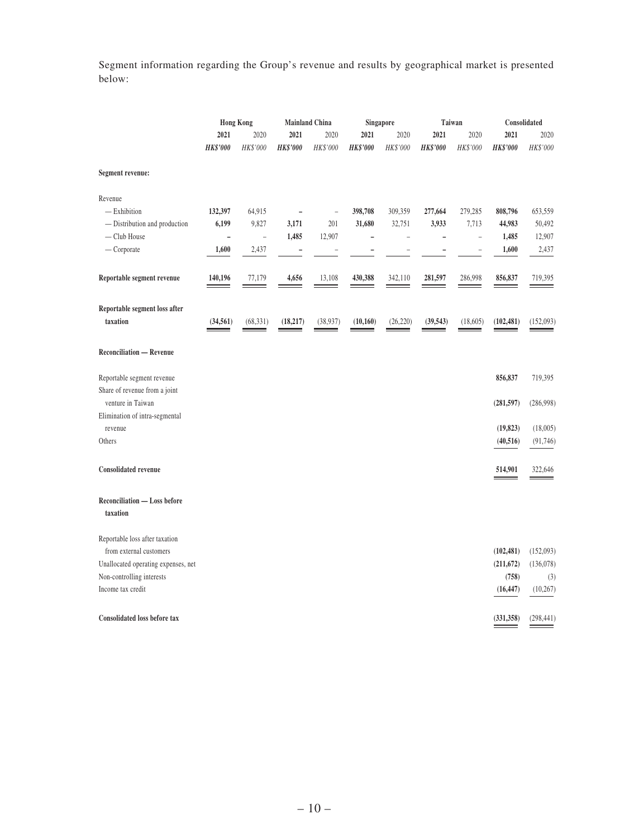Segment information regarding the Group's revenue and results by geographical market is presented below:

|                                                             | <b>Hong Kong</b> |                          | <b>Mainland China</b>    |                |                 | <b>Singapore</b> |                          | Taiwan         | Consolidated           |                       |
|-------------------------------------------------------------|------------------|--------------------------|--------------------------|----------------|-----------------|------------------|--------------------------|----------------|------------------------|-----------------------|
|                                                             | 2021             | 2020                     | 2021                     | 2020           | 2021            | 2020             | 2021                     | 2020           | 2021                   | 2020                  |
|                                                             | <b>HK\$'000</b>  | HK\$'000                 | <b>HK\$'000</b>          | HK\$'000       | <b>HK\$'000</b> | HK\$'000         | <b>HK\$'000</b>          | HK\$'000       | <b>HK\$'000</b>        | HK\$'000              |
| Segment revenue:                                            |                  |                          |                          |                |                 |                  |                          |                |                        |                       |
| Revenue                                                     |                  |                          |                          |                |                 |                  |                          |                |                        |                       |
| $-$ Exhibition                                              | 132,397          | 64,915                   | $\overline{\phantom{0}}$ | $\overline{a}$ | 398,708         | 309,359          | 277,664                  | 279,285        | 808,796                | 653,559               |
| - Distribution and production                               | 6,199            | 9,827                    | 3,171                    | 201            | 31,680          | 32,751           | 3,933                    | 7,713          | 44,983                 | 50,492                |
| - Club House                                                | L                | $\overline{\phantom{0}}$ | 1,485                    | 12,907         | L,              | $\overline{a}$   | $\overline{\phantom{0}}$ | $\overline{a}$ | 1,485                  | 12,907                |
| $-$ Corporate                                               | 1,600            | 2,437                    | $\overline{a}$           | $\overline{a}$ | ۰               |                  | ۰                        | $\overline{a}$ | 1,600                  | 2,437                 |
| Reportable segment revenue                                  | 140,196          | 77,179                   | 4,656                    | 13,108         | 430,388         | 342,110          | 281,597                  | 286,998        | 856,837                | 719,395               |
| Reportable segment loss after<br>taxation                   | (34, 561)        | (68, 331)                | (18, 217)                | (38,937)       | (10, 160)       | (26, 220)        | (39, 543)                | (18,605)       | (102, 481)             | (152,093)             |
| <b>Reconciliation - Revenue</b>                             |                  |                          |                          |                |                 |                  |                          |                |                        |                       |
| Reportable segment revenue<br>Share of revenue from a joint |                  |                          |                          |                |                 |                  |                          |                | 856,837                | 719,395               |
| venture in Taiwan                                           |                  |                          |                          |                |                 |                  |                          |                | (281, 597)             | (286,998)             |
| Elimination of intra-segmental                              |                  |                          |                          |                |                 |                  |                          |                |                        |                       |
| revenue<br>Others                                           |                  |                          |                          |                |                 |                  |                          |                | (19, 823)<br>(40, 516) | (18,005)<br>(91, 746) |
|                                                             |                  |                          |                          |                |                 |                  |                          |                |                        |                       |
| <b>Consolidated revenue</b>                                 |                  |                          |                          |                |                 |                  |                          |                | 514,901                | 322,646               |
| <b>Reconciliation - Loss before</b><br>taxation             |                  |                          |                          |                |                 |                  |                          |                |                        |                       |
| Reportable loss after taxation                              |                  |                          |                          |                |                 |                  |                          |                |                        |                       |
| from external customers                                     |                  |                          |                          |                |                 |                  |                          |                | (102, 481)             | (152,093)             |
| Unallocated operating expenses, net                         |                  |                          |                          |                |                 |                  |                          |                | (211, 672)             | (136,078)             |
| Non-controlling interests                                   |                  |                          |                          |                |                 |                  |                          |                | (758)                  | (3)                   |
| Income tax credit                                           |                  |                          |                          |                |                 |                  |                          |                | (16, 447)              | (10, 267)             |
| <b>Consolidated loss before tax</b>                         |                  |                          |                          |                |                 |                  |                          |                | (331, 358)             | (298, 441)            |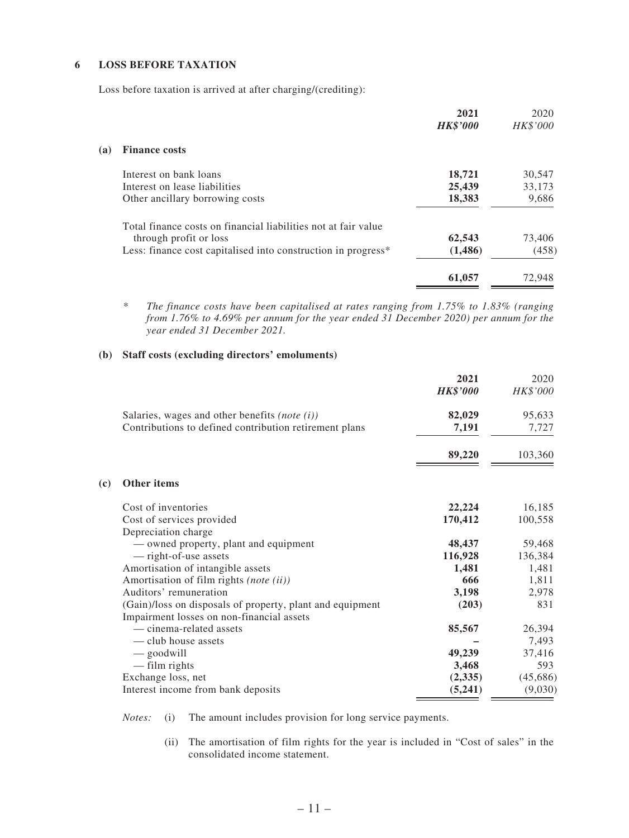#### **6 LOSS BEFORE TAXATION**

**(c) Other items**

Loss before taxation is arrived at after charging/(crediting):

|                                                                | 2021<br><b>HK\$'000</b> | 2020<br>HK\$'000 |
|----------------------------------------------------------------|-------------------------|------------------|
| <b>Finance costs</b>                                           |                         |                  |
| Interest on bank loans                                         | 18,721                  | 30,547           |
| Interest on lease liabilities                                  | 25,439                  | 33,173           |
| Other ancillary borrowing costs                                | 18,383                  | 9,686            |
| Total finance costs on financial liabilities not at fair value |                         |                  |
|                                                                | 62,543                  | 73,406           |
| Less: finance cost capitalised into construction in progress*  | (1,486)                 | (458)            |
|                                                                | 61,057                  | 72.948           |
|                                                                | through profit or loss  |                  |

*\* The finance costs have been capitalised at rates ranging from 1.75% to 1.83% (ranging from 1.76% to 4.69% per annum for the year ended 31 December 2020) per annum for the year ended 31 December 2021.*

#### **(b) Staff costs (excluding directors' emoluments)**

|                                                           | 2021            | 2020     |
|-----------------------------------------------------------|-----------------|----------|
|                                                           | <b>HK\$'000</b> | HK\$'000 |
| Salaries, wages and other benefits (note $(i)$ )          | 82,029          | 95,633   |
| Contributions to defined contribution retirement plans    | 7,191           | 7,727    |
|                                                           | 89,220          | 103,360  |
| Other items                                               |                 |          |
| Cost of inventories                                       | 22,224          | 16,185   |
| Cost of services provided                                 | 170,412         | 100,558  |
| Depreciation charge                                       |                 |          |
| — owned property, plant and equipment                     | 48,437          | 59,468   |
| — right-of-use assets                                     | 116,928         | 136,384  |
| Amortisation of intangible assets                         | 1,481           | 1,481    |
| Amortisation of film rights (note (ii))                   | 666             | 1,811    |
| Auditors' remuneration                                    | 3,198           | 2,978    |
| (Gain)/loss on disposals of property, plant and equipment | (203)           | 831      |
| Impairment losses on non-financial assets                 |                 |          |
| — cinema-related assets                                   | 85,567          | 26,394   |
| — club house assets                                       |                 | 7,493    |
| — goodwill                                                | 49,239          | 37,416   |
| - film rights                                             | 3,468           | 593      |
| Exchange loss, net                                        | (2,335)         | (45,686) |
| Interest income from bank deposits                        | (5,241)         | (9,030)  |

*Notes:* (i) The amount includes provision for long service payments.

(ii) The amortisation of film rights for the year is included in "Cost of sales" in the consolidated income statement.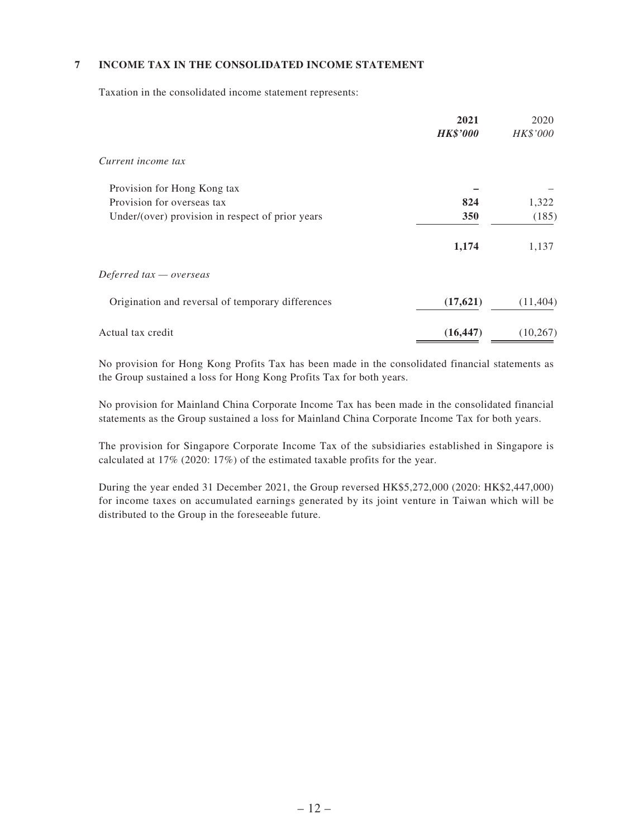#### **7 INCOME TAX IN THE CONSOLIDATED INCOME STATEMENT**

Taxation in the consolidated income statement represents:

|                                                   | 2021<br><b>HK\$'000</b> | 2020<br>HK\$'000 |
|---------------------------------------------------|-------------------------|------------------|
| Current income tax                                |                         |                  |
| Provision for Hong Kong tax                       |                         |                  |
| Provision for overseas tax                        | 824                     | 1,322            |
| Under/(over) provision in respect of prior years  | 350                     | (185)            |
|                                                   | 1,174                   | 1,137            |
| Deferred $tax -overse$                            |                         |                  |
| Origination and reversal of temporary differences | (17,621)                | (11, 404)        |
| Actual tax credit                                 | (16, 447)               | (10, 267)        |

No provision for Hong Kong Profits Tax has been made in the consolidated financial statements as the Group sustained a loss for Hong Kong Profits Tax for both years.

No provision for Mainland China Corporate Income Tax has been made in the consolidated financial statements as the Group sustained a loss for Mainland China Corporate Income Tax for both years.

The provision for Singapore Corporate Income Tax of the subsidiaries established in Singapore is calculated at 17% (2020: 17%) of the estimated taxable profits for the year.

During the year ended 31 December 2021, the Group reversed HK\$5,272,000 (2020: HK\$2,447,000) for income taxes on accumulated earnings generated by its joint venture in Taiwan which will be distributed to the Group in the foreseeable future.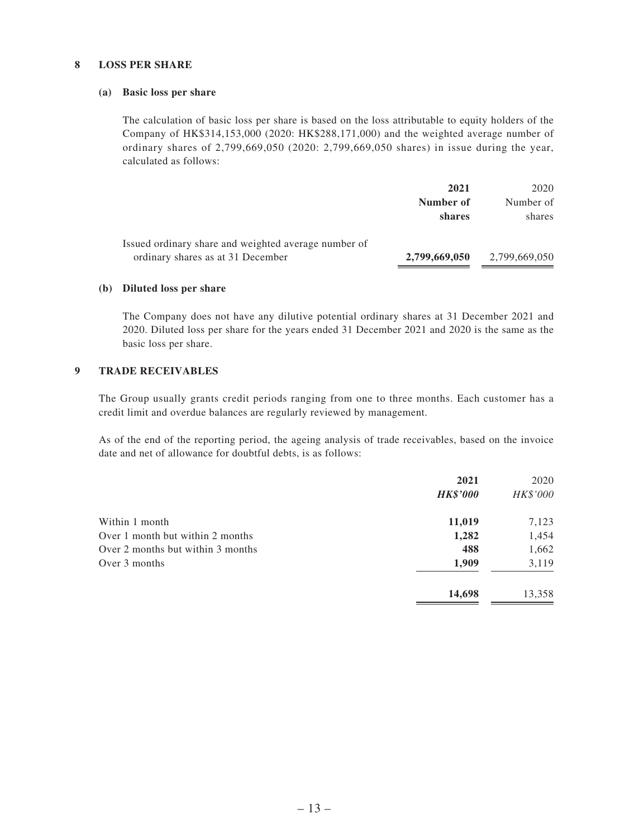#### **8 LOSS PER SHARE**

#### **(a) Basic loss per share**

The calculation of basic loss per share is based on the loss attributable to equity holders of the Company of HK\$314,153,000 (2020: HK\$288,171,000) and the weighted average number of ordinary shares of 2,799,669,050 (2020: 2,799,669,050 shares) in issue during the year, calculated as follows:

|                                                      | 2021          | 2020          |
|------------------------------------------------------|---------------|---------------|
|                                                      | Number of     | Number of     |
|                                                      | shares        | shares        |
| Issued ordinary share and weighted average number of |               |               |
| ordinary shares as at 31 December                    | 2,799,669,050 | 2,799,669,050 |

#### **(b) Diluted loss per share**

The Company does not have any dilutive potential ordinary shares at 31 December 2021 and 2020. Diluted loss per share for the years ended 31 December 2021 and 2020 is the same as the basic loss per share.

#### **9 TRADE RECEIVABLES**

The Group usually grants credit periods ranging from one to three months. Each customer has a credit limit and overdue balances are regularly reviewed by management.

As of the end of the reporting period, the ageing analysis of trade receivables, based on the invoice date and net of allowance for doubtful debts, is as follows:

|                                   | 2021<br><b>HK\$'000</b> | 2020<br>HK\$'000 |
|-----------------------------------|-------------------------|------------------|
| Within 1 month                    | 11,019                  | 7,123            |
| Over 1 month but within 2 months  | 1,282                   | 1,454            |
| Over 2 months but within 3 months | 488                     | 1,662            |
| Over 3 months                     | 1,909                   | 3,119            |
|                                   | 14,698                  | 13,358           |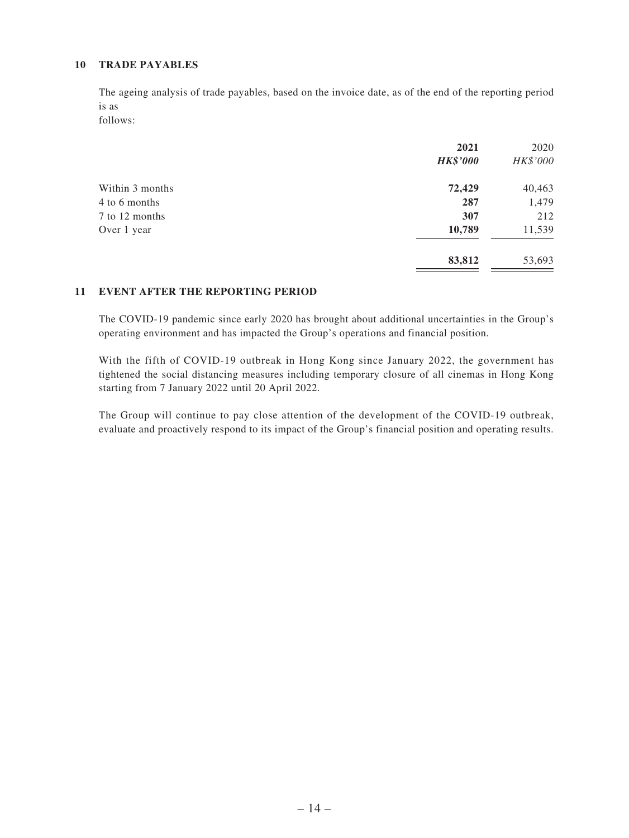#### **10 TRADE PAYABLES**

The ageing analysis of trade payables, based on the invoice date, as of the end of the reporting period is as

follows:

|                 | 2021<br><b>HK\$'000</b> | 2020<br>HK\$'000 |
|-----------------|-------------------------|------------------|
| Within 3 months | 72,429                  | 40,463           |
| 4 to 6 months   | 287                     | 1,479            |
| 7 to 12 months  | 307                     | 212              |
| Over 1 year     | 10,789                  | 11,539           |
|                 | 83,812                  | 53,693           |

#### **11 EVENT AFTER THE REPORTING PERIOD**

The COVID-19 pandemic since early 2020 has brought about additional uncertainties in the Group's operating environment and has impacted the Group's operations and financial position.

With the fifth of COVID-19 outbreak in Hong Kong since January 2022, the government has tightened the social distancing measures including temporary closure of all cinemas in Hong Kong starting from 7 January 2022 until 20 April 2022.

The Group will continue to pay close attention of the development of the COVID-19 outbreak, evaluate and proactively respond to its impact of the Group's financial position and operating results.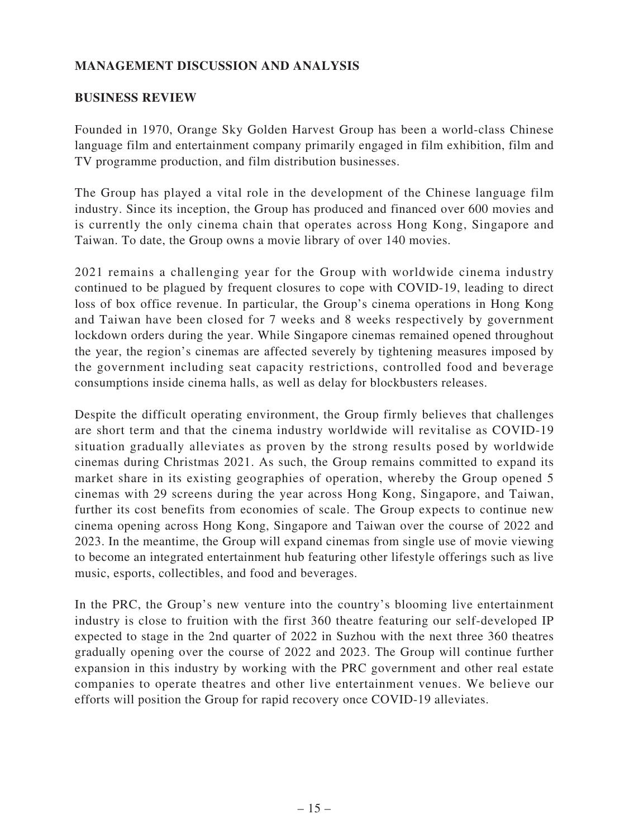# **MANAGEMENT DISCUSSION AND ANALYSIS**

### **BUSINESS REVIEW**

Founded in 1970, Orange Sky Golden Harvest Group has been a world-class Chinese language film and entertainment company primarily engaged in film exhibition, film and TV programme production, and film distribution businesses.

The Group has played a vital role in the development of the Chinese language film industry. Since its inception, the Group has produced and financed over 600 movies and is currently the only cinema chain that operates across Hong Kong, Singapore and Taiwan. To date, the Group owns a movie library of over 140 movies.

2021 remains a challenging year for the Group with worldwide cinema industry continued to be plagued by frequent closures to cope with COVID-19, leading to direct loss of box office revenue. In particular, the Group's cinema operations in Hong Kong and Taiwan have been closed for 7 weeks and 8 weeks respectively by government lockdown orders during the year. While Singapore cinemas remained opened throughout the year, the region's cinemas are affected severely by tightening measures imposed by the government including seat capacity restrictions, controlled food and beverage consumptions inside cinema halls, as well as delay for blockbusters releases.

Despite the difficult operating environment, the Group firmly believes that challenges are short term and that the cinema industry worldwide will revitalise as COVID-19 situation gradually alleviates as proven by the strong results posed by worldwide cinemas during Christmas 2021. As such, the Group remains committed to expand its market share in its existing geographies of operation, whereby the Group opened 5 cinemas with 29 screens during the year across Hong Kong, Singapore, and Taiwan, further its cost benefits from economies of scale. The Group expects to continue new cinema opening across Hong Kong, Singapore and Taiwan over the course of 2022 and 2023. In the meantime, the Group will expand cinemas from single use of movie viewing to become an integrated entertainment hub featuring other lifestyle offerings such as live music, esports, collectibles, and food and beverages.

In the PRC, the Group's new venture into the country's blooming live entertainment industry is close to fruition with the first 360 theatre featuring our self-developed IP expected to stage in the 2nd quarter of 2022 in Suzhou with the next three 360 theatres gradually opening over the course of 2022 and 2023. The Group will continue further expansion in this industry by working with the PRC government and other real estate companies to operate theatres and other live entertainment venues. We believe our efforts will position the Group for rapid recovery once COVID-19 alleviates.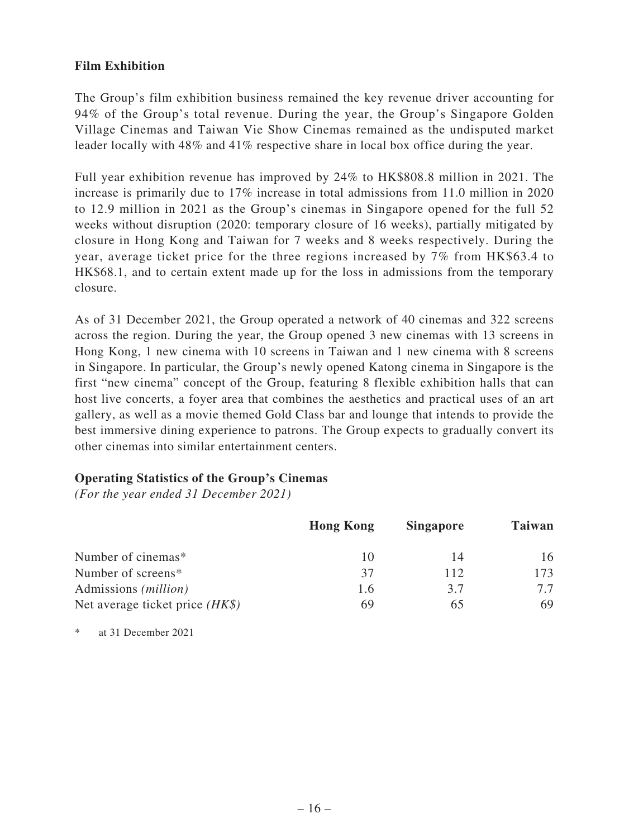## **Film Exhibition**

The Group's film exhibition business remained the key revenue driver accounting for 94% of the Group's total revenue. During the year, the Group's Singapore Golden Village Cinemas and Taiwan Vie Show Cinemas remained as the undisputed market leader locally with 48% and 41% respective share in local box office during the year.

Full year exhibition revenue has improved by 24% to HK\$808.8 million in 2021. The increase is primarily due to 17% increase in total admissions from 11.0 million in 2020 to 12.9 million in 2021 as the Group's cinemas in Singapore opened for the full 52 weeks without disruption (2020: temporary closure of 16 weeks), partially mitigated by closure in Hong Kong and Taiwan for 7 weeks and 8 weeks respectively. During the year, average ticket price for the three regions increased by 7% from HK\$63.4 to HK\$68.1, and to certain extent made up for the loss in admissions from the temporary closure.

As of 31 December 2021, the Group operated a network of 40 cinemas and 322 screens across the region. During the year, the Group opened 3 new cinemas with 13 screens in Hong Kong, 1 new cinema with 10 screens in Taiwan and 1 new cinema with 8 screens in Singapore. In particular, the Group's newly opened Katong cinema in Singapore is the first "new cinema" concept of the Group, featuring 8 flexible exhibition halls that can host live concerts, a foyer area that combines the aesthetics and practical uses of an art gallery, as well as a movie themed Gold Class bar and lounge that intends to provide the best immersive dining experience to patrons. The Group expects to gradually convert its other cinemas into similar entertainment centers.

## **Operating Statistics of the Group's Cinemas**

*(For the year ended 31 December 2021)*

|                                   | <b>Hong Kong</b> | <b>Singapore</b> | Taiwan |
|-----------------------------------|------------------|------------------|--------|
| Number of cinemas*                |                  | 14               | 16     |
| Number of screens*                | 37               | 112              | 173    |
| Admissions ( <i>million</i> )     | 1.6              | 3.7              | 77     |
| Net average ticket price $(HK\$ ) | 69               |                  | 69     |

\* at 31 December 2021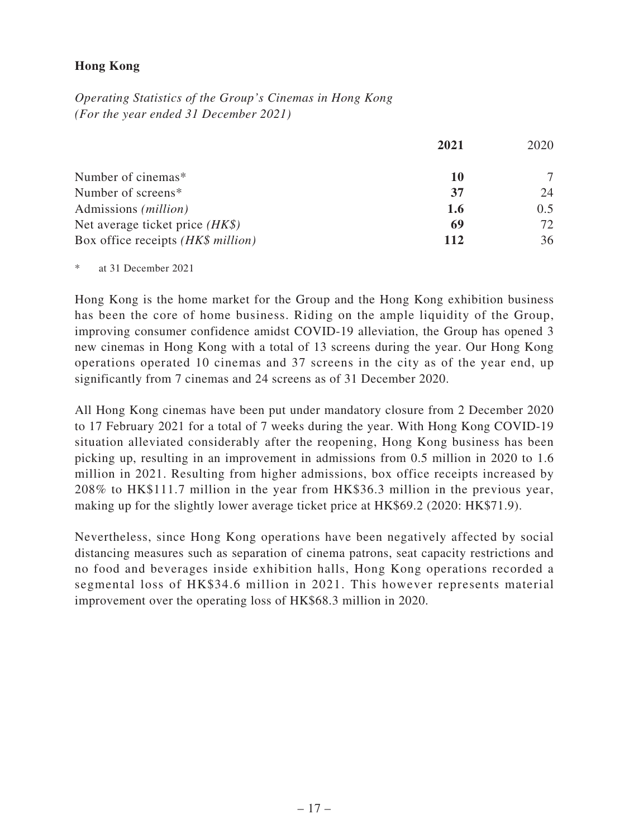## **Hong Kong**

*Operating Statistics of the Group's Cinemas in Hong Kong (For the year ended 31 December 2021)*

|                                    | 2021 | 2020 |
|------------------------------------|------|------|
| Number of cinemas*                 | 10   |      |
| Number of screens*                 | 37   | 24   |
| Admissions ( <i>million</i> )      | 1.6  | 0.5  |
| Net average ticket price $(HK\$ )  | 69   | 72.  |
| Box office receipts (HK\$ million) | 112  | 36   |

at 31 December 2021

Hong Kong is the home market for the Group and the Hong Kong exhibition business has been the core of home business. Riding on the ample liquidity of the Group, improving consumer confidence amidst COVID-19 alleviation, the Group has opened 3 new cinemas in Hong Kong with a total of 13 screens during the year. Our Hong Kong operations operated 10 cinemas and 37 screens in the city as of the year end, up significantly from 7 cinemas and 24 screens as of 31 December 2020.

All Hong Kong cinemas have been put under mandatory closure from 2 December 2020 to 17 February 2021 for a total of 7 weeks during the year. With Hong Kong COVID-19 situation alleviated considerably after the reopening, Hong Kong business has been picking up, resulting in an improvement in admissions from 0.5 million in 2020 to 1.6 million in 2021. Resulting from higher admissions, box office receipts increased by 208% to HK\$111.7 million in the year from HK\$36.3 million in the previous year, making up for the slightly lower average ticket price at HK\$69.2 (2020: HK\$71.9).

Nevertheless, since Hong Kong operations have been negatively affected by social distancing measures such as separation of cinema patrons, seat capacity restrictions and no food and beverages inside exhibition halls, Hong Kong operations recorded a segmental loss of HK\$34.6 million in 2021. This however represents material improvement over the operating loss of HK\$68.3 million in 2020.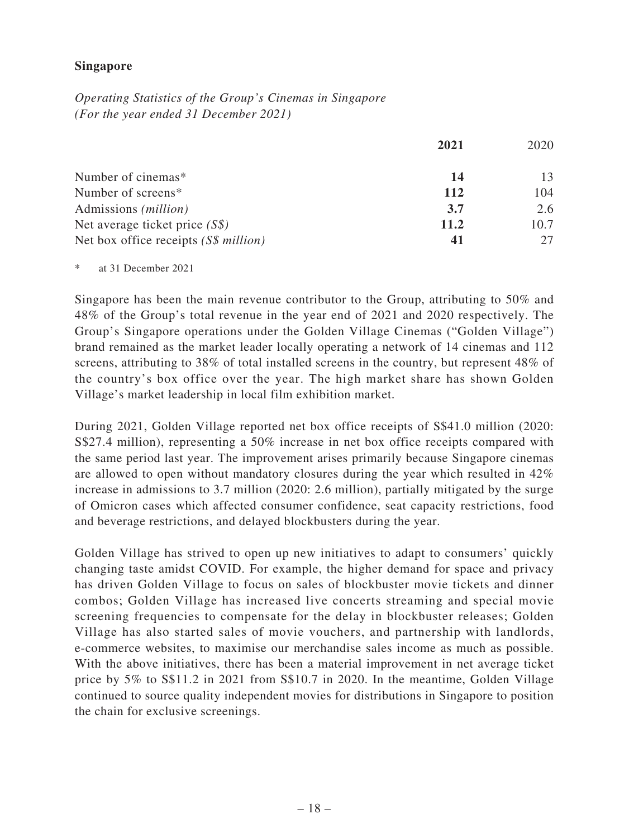## **Singapore**

*Operating Statistics of the Group's Cinemas in Singapore (For the year ended 31 December 2021)*

|                                       | 2021 | 2020 |
|---------------------------------------|------|------|
| Number of cinemas*                    | 14   | 13   |
| Number of screens*                    | 112  | 104  |
| Admissions ( <i>million</i> )         | 3.7  | 2.6  |
| Net average ticket price $(S\$ )      | 11.2 | 10.7 |
| Net box office receipts (S\$ million) |      |      |

at 31 December 2021

Singapore has been the main revenue contributor to the Group, attributing to 50% and 48% of the Group's total revenue in the year end of 2021 and 2020 respectively. The Group's Singapore operations under the Golden Village Cinemas ("Golden Village") brand remained as the market leader locally operating a network of 14 cinemas and 112 screens, attributing to 38% of total installed screens in the country, but represent 48% of the country's box office over the year. The high market share has shown Golden Village's market leadership in local film exhibition market.

During 2021, Golden Village reported net box office receipts of S\$41.0 million (2020: S\$27.4 million), representing a 50% increase in net box office receipts compared with the same period last year. The improvement arises primarily because Singapore cinemas are allowed to open without mandatory closures during the year which resulted in 42% increase in admissions to 3.7 million (2020: 2.6 million), partially mitigated by the surge of Omicron cases which affected consumer confidence, seat capacity restrictions, food and beverage restrictions, and delayed blockbusters during the year.

Golden Village has strived to open up new initiatives to adapt to consumers' quickly changing taste amidst COVID. For example, the higher demand for space and privacy has driven Golden Village to focus on sales of blockbuster movie tickets and dinner combos; Golden Village has increased live concerts streaming and special movie screening frequencies to compensate for the delay in blockbuster releases; Golden Village has also started sales of movie vouchers, and partnership with landlords, e-commerce websites, to maximise our merchandise sales income as much as possible. With the above initiatives, there has been a material improvement in net average ticket price by 5% to S\$11.2 in 2021 from S\$10.7 in 2020. In the meantime, Golden Village continued to source quality independent movies for distributions in Singapore to position the chain for exclusive screenings.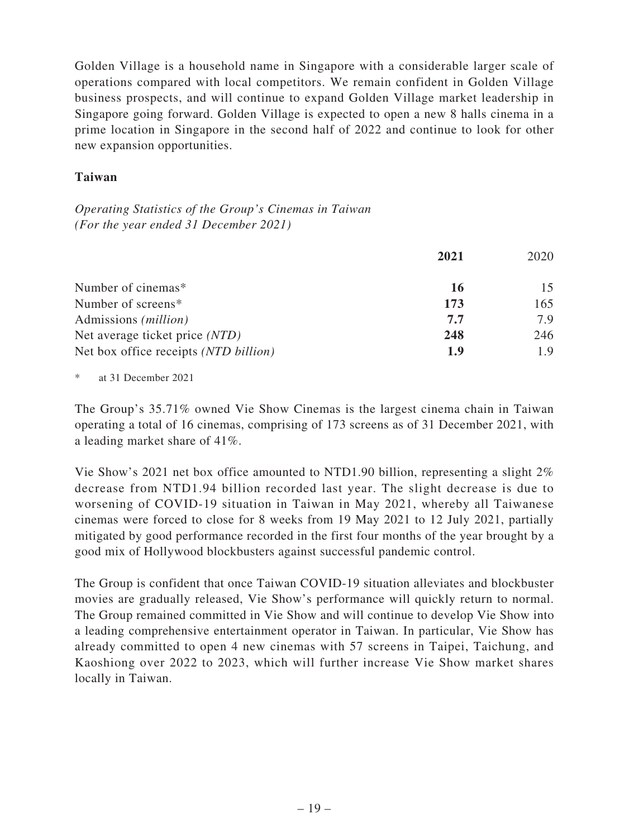Golden Village is a household name in Singapore with a considerable larger scale of operations compared with local competitors. We remain confident in Golden Village business prospects, and will continue to expand Golden Village market leadership in Singapore going forward. Golden Village is expected to open a new 8 halls cinema in a prime location in Singapore in the second half of 2022 and continue to look for other new expansion opportunities.

## **Taiwan**

*Operating Statistics of the Group's Cinemas in Taiwan (For the year ended 31 December 2021)*

|                                       | 2021 | 2020 |
|---------------------------------------|------|------|
| Number of cinemas*                    | 16   | 15   |
| Number of screens*                    | 173  | 165  |
| Admissions ( <i>million</i> )         | 7.7  | 7.9  |
| Net average ticket price (NTD)        | 248  | 246  |
| Net box office receipts (NTD billion) | 1.9  | 1.9  |

at 31 December 2021

The Group's 35.71% owned Vie Show Cinemas is the largest cinema chain in Taiwan operating a total of 16 cinemas, comprising of 173 screens as of 31 December 2021, with a leading market share of 41%.

Vie Show's 2021 net box office amounted to NTD1.90 billion, representing a slight 2% decrease from NTD1.94 billion recorded last year. The slight decrease is due to worsening of COVID-19 situation in Taiwan in May 2021, whereby all Taiwanese cinemas were forced to close for 8 weeks from 19 May 2021 to 12 July 2021, partially mitigated by good performance recorded in the first four months of the year brought by a good mix of Hollywood blockbusters against successful pandemic control.

The Group is confident that once Taiwan COVID-19 situation alleviates and blockbuster movies are gradually released, Vie Show's performance will quickly return to normal. The Group remained committed in Vie Show and will continue to develop Vie Show into a leading comprehensive entertainment operator in Taiwan. In particular, Vie Show has already committed to open 4 new cinemas with 57 screens in Taipei, Taichung, and Kaoshiong over 2022 to 2023, which will further increase Vie Show market shares locally in Taiwan.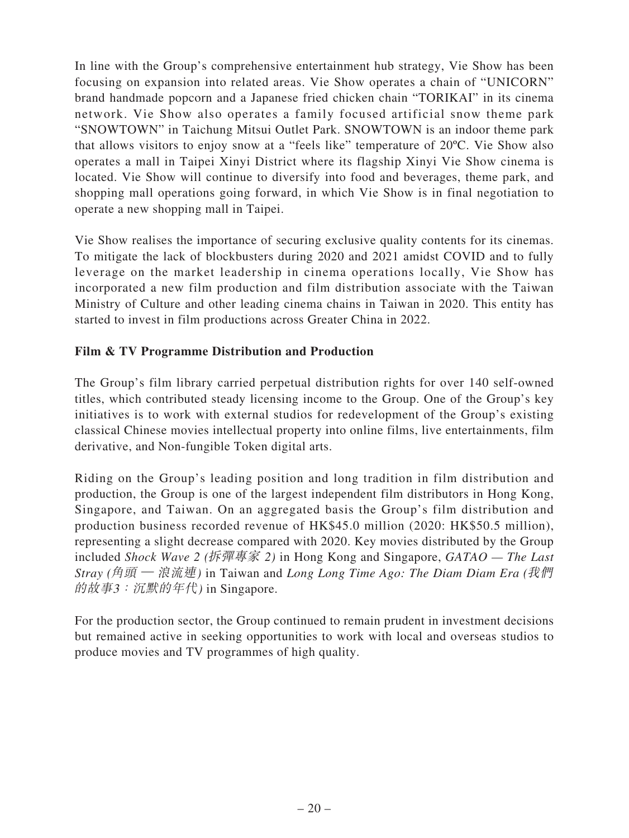In line with the Group's comprehensive entertainment hub strategy, Vie Show has been focusing on expansion into related areas. Vie Show operates a chain of "UNICORN" brand handmade popcorn and a Japanese fried chicken chain "TORIKAI" in its cinema network. Vie Show also operates a family focused artificial snow theme park "SNOWTOWN" in Taichung Mitsui Outlet Park. SNOWTOWN is an indoor theme park that allows visitors to enjoy snow at a "feels like" temperature of 20ºC. Vie Show also operates a mall in Taipei Xinyi District where its flagship Xinyi Vie Show cinema is located. Vie Show will continue to diversify into food and beverages, theme park, and shopping mall operations going forward, in which Vie Show is in final negotiation to operate a new shopping mall in Taipei.

Vie Show realises the importance of securing exclusive quality contents for its cinemas. To mitigate the lack of blockbusters during 2020 and 2021 amidst COVID and to fully leverage on the market leadership in cinema operations locally, Vie Show has incorporated a new film production and film distribution associate with the Taiwan Ministry of Culture and other leading cinema chains in Taiwan in 2020. This entity has started to invest in film productions across Greater China in 2022.

# **Film & TV Programme Distribution and Production**

The Group's film library carried perpetual distribution rights for over 140 self-owned titles, which contributed steady licensing income to the Group. One of the Group's key initiatives is to work with external studios for redevelopment of the Group's existing classical Chinese movies intellectual property into online films, live entertainments, film derivative, and Non-fungible Token digital arts.

Riding on the Group's leading position and long tradition in film distribution and production, the Group is one of the largest independent film distributors in Hong Kong, Singapore, and Taiwan. On an aggregated basis the Group's film distribution and production business recorded revenue of HK\$45.0 million (2020: HK\$50.5 million), representing a slight decrease compared with 2020. Key movies distributed by the Group included *Shock Wave 2 (*拆彈專家 *2)* in Hong Kong and Singapore, *GATAO — The Last Stray (*角頭 — 浪流連*)* in Taiwan and *Long Long Time Ago: The Diam Diam Era (*我們 的故事3:沉默的年代*)* in Singapore.

For the production sector, the Group continued to remain prudent in investment decisions but remained active in seeking opportunities to work with local and overseas studios to produce movies and TV programmes of high quality.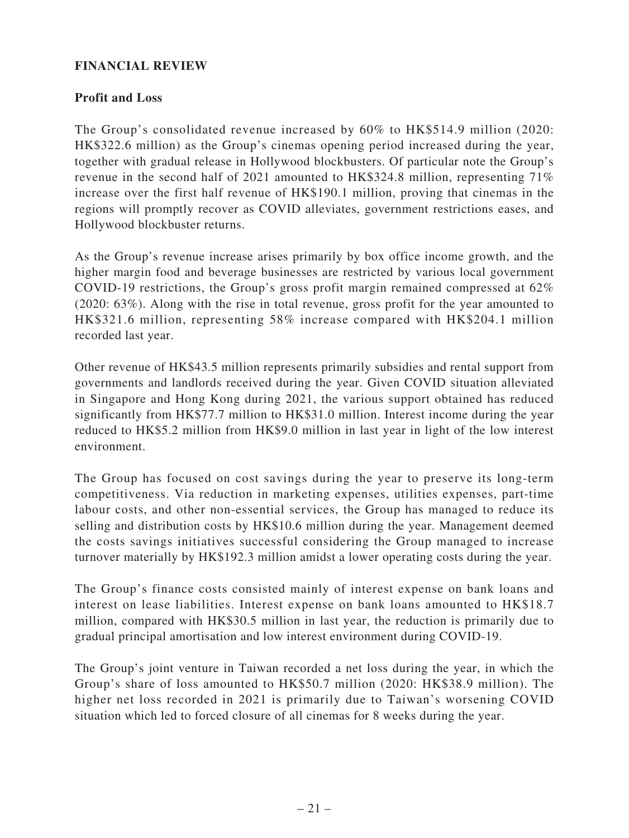## **FINANCIAL REVIEW**

## **Profit and Loss**

The Group's consolidated revenue increased by 60% to HK\$514.9 million (2020: HK\$322.6 million) as the Group's cinemas opening period increased during the year, together with gradual release in Hollywood blockbusters. Of particular note the Group's revenue in the second half of 2021 amounted to HK\$324.8 million, representing 71% increase over the first half revenue of HK\$190.1 million, proving that cinemas in the regions will promptly recover as COVID alleviates, government restrictions eases, and Hollywood blockbuster returns.

As the Group's revenue increase arises primarily by box office income growth, and the higher margin food and beverage businesses are restricted by various local government COVID-19 restrictions, the Group's gross profit margin remained compressed at 62% (2020: 63%). Along with the rise in total revenue, gross profit for the year amounted to HK\$321.6 million, representing 58% increase compared with HK\$204.1 million recorded last year.

Other revenue of HK\$43.5 million represents primarily subsidies and rental support from governments and landlords received during the year. Given COVID situation alleviated in Singapore and Hong Kong during 2021, the various support obtained has reduced significantly from HK\$77.7 million to HK\$31.0 million. Interest income during the year reduced to HK\$5.2 million from HK\$9.0 million in last year in light of the low interest environment.

The Group has focused on cost savings during the year to preserve its long-term competitiveness. Via reduction in marketing expenses, utilities expenses, part-time labour costs, and other non-essential services, the Group has managed to reduce its selling and distribution costs by HK\$10.6 million during the year. Management deemed the costs savings initiatives successful considering the Group managed to increase turnover materially by HK\$192.3 million amidst a lower operating costs during the year.

The Group's finance costs consisted mainly of interest expense on bank loans and interest on lease liabilities. Interest expense on bank loans amounted to HK\$18.7 million, compared with HK\$30.5 million in last year, the reduction is primarily due to gradual principal amortisation and low interest environment during COVID-19.

The Group's joint venture in Taiwan recorded a net loss during the year, in which the Group's share of loss amounted to HK\$50.7 million (2020: HK\$38.9 million). The higher net loss recorded in 2021 is primarily due to Taiwan's worsening COVID situation which led to forced closure of all cinemas for 8 weeks during the year.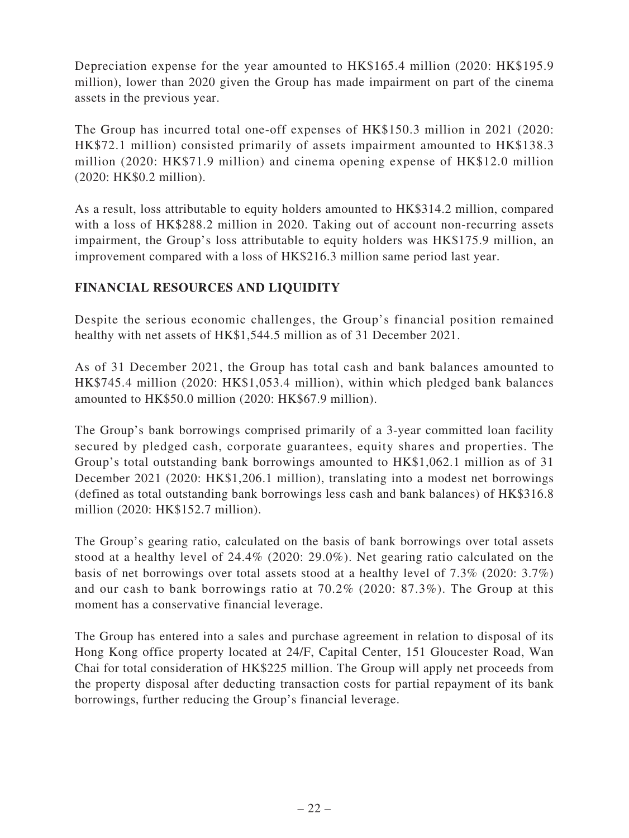Depreciation expense for the year amounted to HK\$165.4 million (2020: HK\$195.9 million), lower than 2020 given the Group has made impairment on part of the cinema assets in the previous year.

The Group has incurred total one-off expenses of HK\$150.3 million in 2021 (2020: HK\$72.1 million) consisted primarily of assets impairment amounted to HK\$138.3 million (2020: HK\$71.9 million) and cinema opening expense of HK\$12.0 million (2020: HK\$0.2 million).

As a result, loss attributable to equity holders amounted to HK\$314.2 million, compared with a loss of HK\$288.2 million in 2020. Taking out of account non-recurring assets impairment, the Group's loss attributable to equity holders was HK\$175.9 million, an improvement compared with a loss of HK\$216.3 million same period last year.

# **FINANCIAL RESOURCES AND LIQUIDITY**

Despite the serious economic challenges, the Group's financial position remained healthy with net assets of HK\$1,544.5 million as of 31 December 2021.

As of 31 December 2021, the Group has total cash and bank balances amounted to HK\$745.4 million (2020: HK\$1,053.4 million), within which pledged bank balances amounted to HK\$50.0 million (2020: HK\$67.9 million).

The Group's bank borrowings comprised primarily of a 3-year committed loan facility secured by pledged cash, corporate guarantees, equity shares and properties. The Group's total outstanding bank borrowings amounted to HK\$1,062.1 million as of 31 December 2021 (2020: HK\$1,206.1 million), translating into a modest net borrowings (defined as total outstanding bank borrowings less cash and bank balances) of HK\$316.8 million (2020: HK\$152.7 million).

The Group's gearing ratio, calculated on the basis of bank borrowings over total assets stood at a healthy level of 24.4% (2020: 29.0%). Net gearing ratio calculated on the basis of net borrowings over total assets stood at a healthy level of 7.3% (2020: 3.7%) and our cash to bank borrowings ratio at 70.2% (2020: 87.3%). The Group at this moment has a conservative financial leverage.

The Group has entered into a sales and purchase agreement in relation to disposal of its Hong Kong office property located at 24/F, Capital Center, 151 Gloucester Road, Wan Chai for total consideration of HK\$225 million. The Group will apply net proceeds from the property disposal after deducting transaction costs for partial repayment of its bank borrowings, further reducing the Group's financial leverage.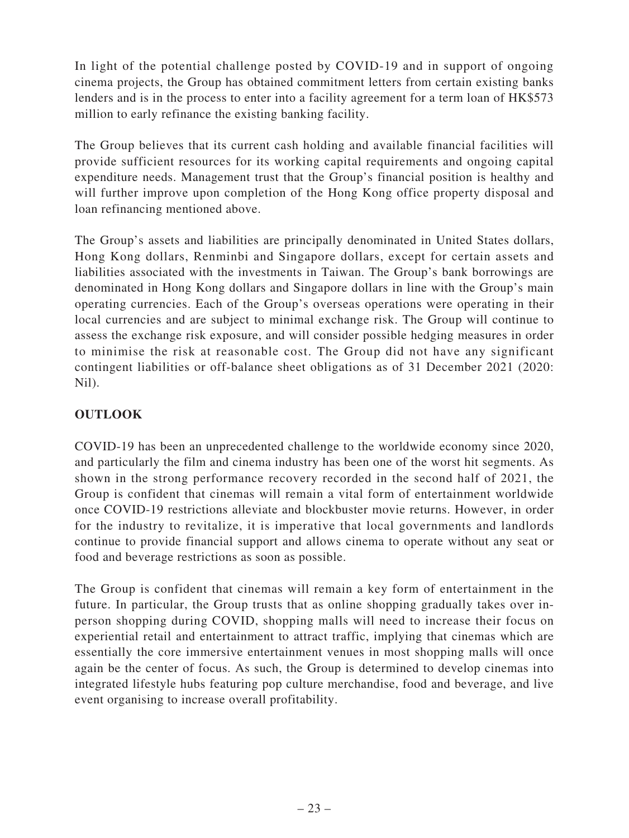In light of the potential challenge posted by COVID-19 and in support of ongoing cinema projects, the Group has obtained commitment letters from certain existing banks lenders and is in the process to enter into a facility agreement for a term loan of HK\$573 million to early refinance the existing banking facility.

The Group believes that its current cash holding and available financial facilities will provide sufficient resources for its working capital requirements and ongoing capital expenditure needs. Management trust that the Group's financial position is healthy and will further improve upon completion of the Hong Kong office property disposal and loan refinancing mentioned above.

The Group's assets and liabilities are principally denominated in United States dollars, Hong Kong dollars, Renminbi and Singapore dollars, except for certain assets and liabilities associated with the investments in Taiwan. The Group's bank borrowings are denominated in Hong Kong dollars and Singapore dollars in line with the Group's main operating currencies. Each of the Group's overseas operations were operating in their local currencies and are subject to minimal exchange risk. The Group will continue to assess the exchange risk exposure, and will consider possible hedging measures in order to minimise the risk at reasonable cost. The Group did not have any significant contingent liabilities or off-balance sheet obligations as of 31 December 2021 (2020: Nil).

# **OUTLOOK**

COVID-19 has been an unprecedented challenge to the worldwide economy since 2020, and particularly the film and cinema industry has been one of the worst hit segments. As shown in the strong performance recovery recorded in the second half of 2021, the Group is confident that cinemas will remain a vital form of entertainment worldwide once COVID-19 restrictions alleviate and blockbuster movie returns. However, in order for the industry to revitalize, it is imperative that local governments and landlords continue to provide financial support and allows cinema to operate without any seat or food and beverage restrictions as soon as possible.

The Group is confident that cinemas will remain a key form of entertainment in the future. In particular, the Group trusts that as online shopping gradually takes over inperson shopping during COVID, shopping malls will need to increase their focus on experiential retail and entertainment to attract traffic, implying that cinemas which are essentially the core immersive entertainment venues in most shopping malls will once again be the center of focus. As such, the Group is determined to develop cinemas into integrated lifestyle hubs featuring pop culture merchandise, food and beverage, and live event organising to increase overall profitability.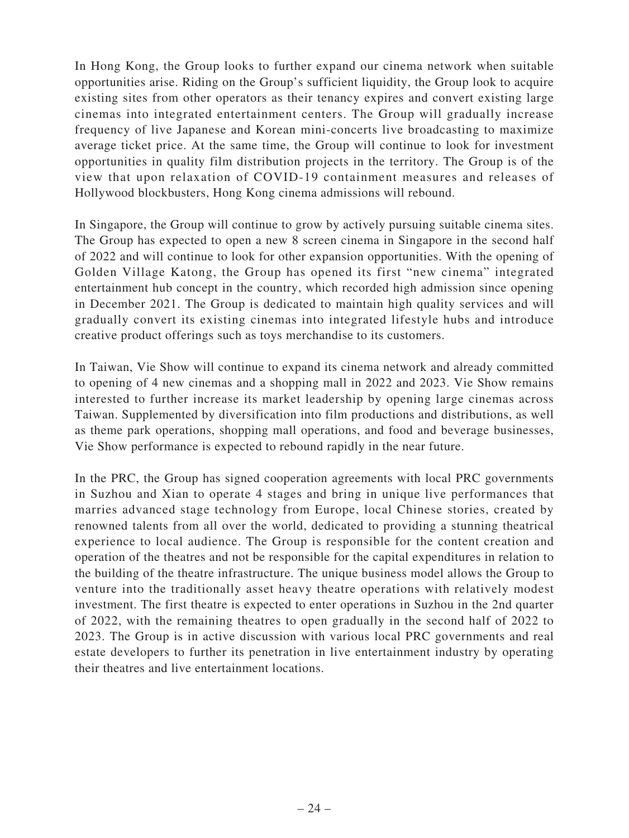In Hong Kong, the Group looks to further expand our cinema network when suitable opportunities arise. Riding on the Group's sufficient liquidity, the Group look to acquire existing sites from other operators as their tenancy expires and convert existing large cinemas into integrated entertainment centers. The Group will gradually increase frequency of live Japanese and Korean mini-concerts live broadcasting to maximize average ticket price. At the same time, the Group will continue to look for investment opportunities in quality film distribution projects in the territory. The Group is of the view that upon relaxation of COVID-19 containment measures and releases of Hollywood blockbusters, Hong Kong cinema admissions will rebound.

In Singapore, the Group will continue to grow by actively pursuing suitable cinema sites. The Group has expected to open a new 8 screen cinema in Singapore in the second half of 2022 and will continue to look for other expansion opportunities. With the opening of Golden Village Katong, the Group has opened its first "new cinema" integrated entertainment hub concept in the country, which recorded high admission since opening in December 2021. The Group is dedicated to maintain high quality services and will gradually convert its existing cinemas into integrated lifestyle hubs and introduce creative product offerings such as toys merchandise to its customers.

In Taiwan, Vie Show will continue to expand its cinema network and already committed to opening of 4 new cinemas and a shopping mall in 2022 and 2023. Vie Show remains interested to further increase its market leadership by opening large cinemas across Taiwan. Supplemented by diversification into film productions and distributions, as well as theme park operations, shopping mall operations, and food and beverage businesses, Vie Show performance is expected to rebound rapidly in the near future.

In the PRC, the Group has signed cooperation agreements with local PRC governments in Suzhou and Xian to operate 4 stages and bring in unique live performances that marries advanced stage technology from Europe, local Chinese stories, created by renowned talents from all over the world, dedicated to providing a stunning theatrical experience to local audience. The Group is responsible for the content creation and operation of the theatres and not be responsible for the capital expenditures in relation to the building of the theatre infrastructure. The unique business model allows the Group to venture into the traditionally asset heavy theatre operations with relatively modest investment. The first theatre is expected to enter operations in Suzhou in the 2nd quarter of 2022, with the remaining theatres to open gradually in the second half of 2022 to 2023. The Group is in active discussion with various local PRC governments and real estate developers to further its penetration in live entertainment industry by operating their theatres and live entertainment locations.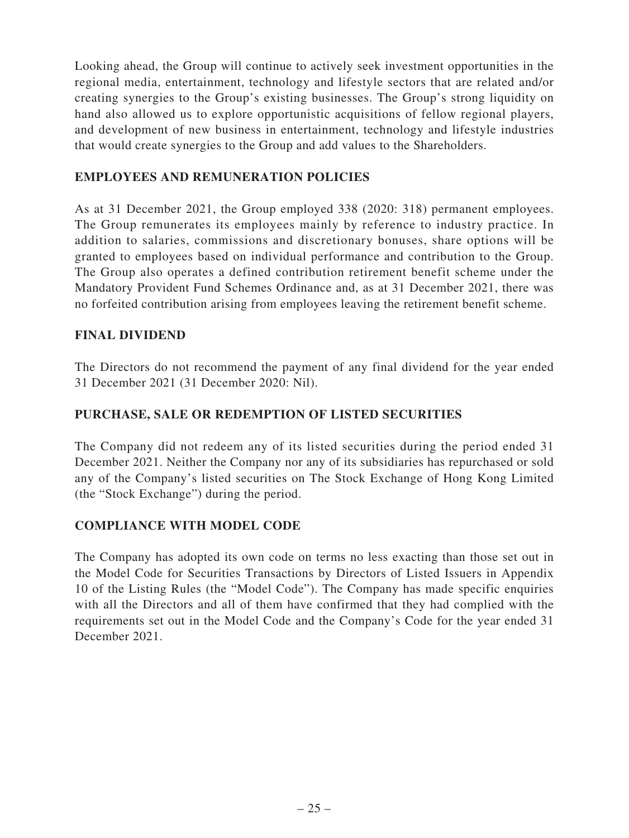Looking ahead, the Group will continue to actively seek investment opportunities in the regional media, entertainment, technology and lifestyle sectors that are related and/or creating synergies to the Group's existing businesses. The Group's strong liquidity on hand also allowed us to explore opportunistic acquisitions of fellow regional players, and development of new business in entertainment, technology and lifestyle industries that would create synergies to the Group and add values to the Shareholders.

## **EMPLOYEES AND REMUNERATION POLICIES**

As at 31 December 2021, the Group employed 338 (2020: 318) permanent employees. The Group remunerates its employees mainly by reference to industry practice. In addition to salaries, commissions and discretionary bonuses, share options will be granted to employees based on individual performance and contribution to the Group. The Group also operates a defined contribution retirement benefit scheme under the Mandatory Provident Fund Schemes Ordinance and, as at 31 December 2021, there was no forfeited contribution arising from employees leaving the retirement benefit scheme.

## **FINAL DIVIDEND**

The Directors do not recommend the payment of any final dividend for the year ended 31 December 2021 (31 December 2020: Nil).

## **PURCHASE, SALE OR REDEMPTION OF LISTED SECURITIES**

The Company did not redeem any of its listed securities during the period ended 31 December 2021. Neither the Company nor any of its subsidiaries has repurchased or sold any of the Company's listed securities on The Stock Exchange of Hong Kong Limited (the "Stock Exchange") during the period.

## **COMPLIANCE WITH MODEL CODE**

The Company has adopted its own code on terms no less exacting than those set out in the Model Code for Securities Transactions by Directors of Listed Issuers in Appendix 10 of the Listing Rules (the "Model Code"). The Company has made specific enquiries with all the Directors and all of them have confirmed that they had complied with the requirements set out in the Model Code and the Company's Code for the year ended 31 December 2021.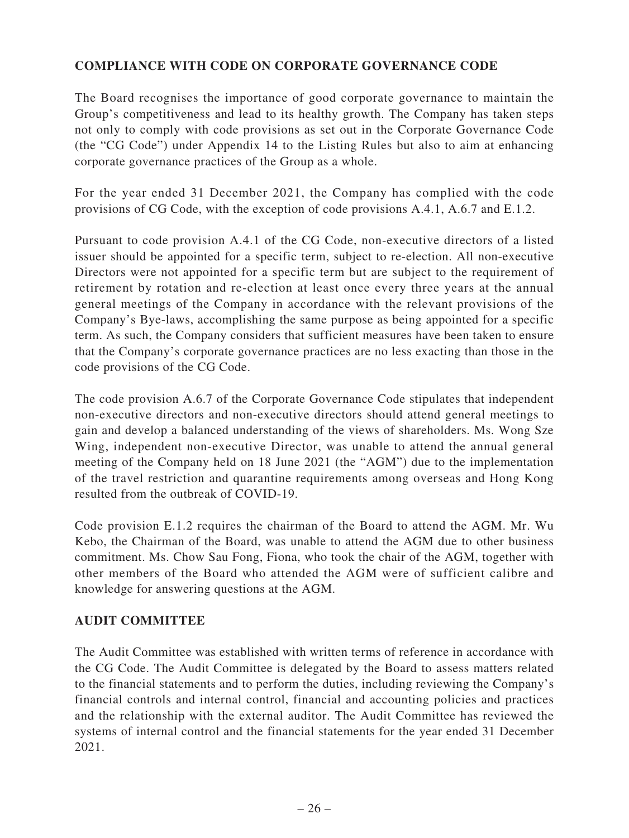# **COMPLIANCE WITH CODE ON CORPORATE GOVERNANCE CODE**

The Board recognises the importance of good corporate governance to maintain the Group's competitiveness and lead to its healthy growth. The Company has taken steps not only to comply with code provisions as set out in the Corporate Governance Code (the "CG Code") under Appendix 14 to the Listing Rules but also to aim at enhancing corporate governance practices of the Group as a whole.

For the year ended 31 December 2021, the Company has complied with the code provisions of CG Code, with the exception of code provisions A.4.1, A.6.7 and E.1.2.

Pursuant to code provision A.4.1 of the CG Code, non-executive directors of a listed issuer should be appointed for a specific term, subject to re-election. All non-executive Directors were not appointed for a specific term but are subject to the requirement of retirement by rotation and re-election at least once every three years at the annual general meetings of the Company in accordance with the relevant provisions of the Company's Bye-laws, accomplishing the same purpose as being appointed for a specific term. As such, the Company considers that sufficient measures have been taken to ensure that the Company's corporate governance practices are no less exacting than those in the code provisions of the CG Code.

The code provision A.6.7 of the Corporate Governance Code stipulates that independent non-executive directors and non-executive directors should attend general meetings to gain and develop a balanced understanding of the views of shareholders. Ms. Wong Sze Wing, independent non-executive Director, was unable to attend the annual general meeting of the Company held on 18 June 2021 (the "AGM") due to the implementation of the travel restriction and quarantine requirements among overseas and Hong Kong resulted from the outbreak of COVID-19.

Code provision E.1.2 requires the chairman of the Board to attend the AGM. Mr. Wu Kebo, the Chairman of the Board, was unable to attend the AGM due to other business commitment. Ms. Chow Sau Fong, Fiona, who took the chair of the AGM, together with other members of the Board who attended the AGM were of sufficient calibre and knowledge for answering questions at the AGM.

## **AUDIT COMMITTEE**

The Audit Committee was established with written terms of reference in accordance with the CG Code. The Audit Committee is delegated by the Board to assess matters related to the financial statements and to perform the duties, including reviewing the Company's financial controls and internal control, financial and accounting policies and practices and the relationship with the external auditor. The Audit Committee has reviewed the systems of internal control and the financial statements for the year ended 31 December 2021.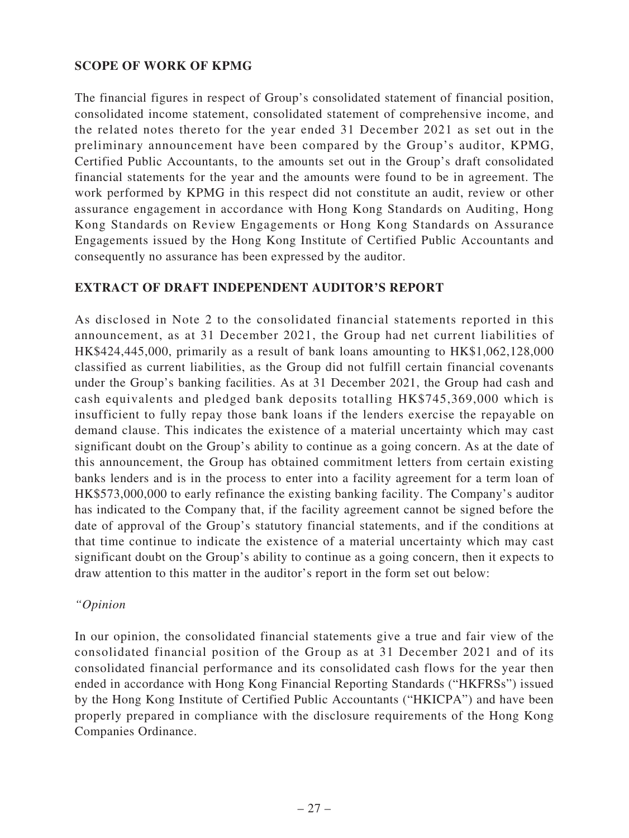## **SCOPE OF WORK OF KPMG**

The financial figures in respect of Group's consolidated statement of financial position, consolidated income statement, consolidated statement of comprehensive income, and the related notes thereto for the year ended 31 December 2021 as set out in the preliminary announcement have been compared by the Group's auditor, KPMG, Certified Public Accountants, to the amounts set out in the Group's draft consolidated financial statements for the year and the amounts were found to be in agreement. The work performed by KPMG in this respect did not constitute an audit, review or other assurance engagement in accordance with Hong Kong Standards on Auditing, Hong Kong Standards on Review Engagements or Hong Kong Standards on Assurance Engagements issued by the Hong Kong Institute of Certified Public Accountants and consequently no assurance has been expressed by the auditor.

## **EXTRACT OF DRAFT INDEPENDENT AUDITOR'S REPORT**

As disclosed in Note 2 to the consolidated financial statements reported in this announcement, as at 31 December 2021, the Group had net current liabilities of HK\$424,445,000, primarily as a result of bank loans amounting to HK\$1,062,128,000 classified as current liabilities, as the Group did not fulfill certain financial covenants under the Group's banking facilities. As at 31 December 2021, the Group had cash and cash equivalents and pledged bank deposits totalling HK\$745,369,000 which is insufficient to fully repay those bank loans if the lenders exercise the repayable on demand clause. This indicates the existence of a material uncertainty which may cast significant doubt on the Group's ability to continue as a going concern. As at the date of this announcement, the Group has obtained commitment letters from certain existing banks lenders and is in the process to enter into a facility agreement for a term loan of HK\$573,000,000 to early refinance the existing banking facility. The Company's auditor has indicated to the Company that, if the facility agreement cannot be signed before the date of approval of the Group's statutory financial statements, and if the conditions at that time continue to indicate the existence of a material uncertainty which may cast significant doubt on the Group's ability to continue as a going concern, then it expects to draw attention to this matter in the auditor's report in the form set out below:

## *"Opinion*

In our opinion, the consolidated financial statements give a true and fair view of the consolidated financial position of the Group as at 31 December 2021 and of its consolidated financial performance and its consolidated cash flows for the year then ended in accordance with Hong Kong Financial Reporting Standards ("HKFRSs") issued by the Hong Kong Institute of Certified Public Accountants ("HKICPA") and have been properly prepared in compliance with the disclosure requirements of the Hong Kong Companies Ordinance.